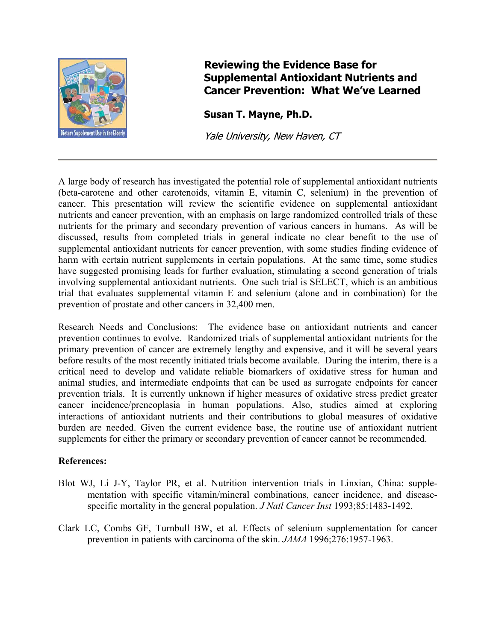

## **Reviewing the Evidence Base for Supplemental Antioxidant Nutrients and Cancer Prevention: What We've Learned**

**Susan T. Mayne, Ph.D.** 

Yale University, New Haven, CT

A large body of research has investigated the potential role of supplemental antioxidant nutrients (beta-carotene and other carotenoids, vitamin E, vitamin C, selenium) in the prevention of cancer. This presentation will review the scientific evidence on supplemental antioxidant nutrients and cancer prevention, with an emphasis on large randomized controlled trials of these nutrients for the primary and secondary prevention of various cancers in humans. As will be discussed, results from completed trials in general indicate no clear benefit to the use of supplemental antioxidant nutrients for cancer prevention, with some studies finding evidence of harm with certain nutrient supplements in certain populations. At the same time, some studies have suggested promising leads for further evaluation, stimulating a second generation of trials involving supplemental antioxidant nutrients. One such trial is SELECT, which is an ambitious trial that evaluates supplemental vitamin E and selenium (alone and in combination) for the prevention of prostate and other cancers in 32,400 men.

Research Needs and Conclusions: The evidence base on antioxidant nutrients and cancer prevention continues to evolve. Randomized trials of supplemental antioxidant nutrients for the primary prevention of cancer are extremely lengthy and expensive, and it will be several years before results of the most recently initiated trials become available. During the interim, there is a critical need to develop and validate reliable biomarkers of oxidative stress for human and animal studies, and intermediate endpoints that can be used as surrogate endpoints for cancer prevention trials. It is currently unknown if higher measures of oxidative stress predict greater cancer incidence/preneoplasia in human populations. Also, studies aimed at exploring interactions of antioxidant nutrients and their contributions to global measures of oxidative burden are needed. Given the current evidence base, the routine use of antioxidant nutrient supplements for either the primary or secondary prevention of cancer cannot be recommended.

## **References:**

- Blot WJ, Li J-Y, Taylor PR, et al. Nutrition intervention trials in Linxian, China: supplementation with specific vitamin/mineral combinations, cancer incidence, and diseasespecific mortality in the general population. *J Natl Cancer Inst* 1993;85:1483-1492.
- Clark LC, Combs GF, Turnbull BW, et al. Effects of selenium supplementation for cancer prevention in patients with carcinoma of the skin. *JAMA* 1996;276:1957-1963.